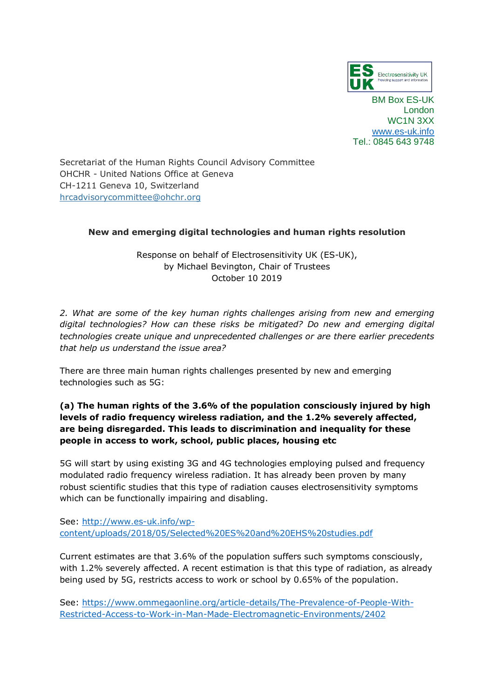

BM Box ES-UK London WC1N 3XX [www.es-uk.info](http://www.es-uk.info/) Tel.: 0845 643 9748

Secretariat of the Human Rights Council Advisory Committee OHCHR - United Nations Office at Geneva CH-1211 Geneva 10, Switzerland [hrcadvisorycommittee@ohchr.org](mailto:hrcadvisorycommittee@ohchr.org)

## **[New and emerging digital technologies and human rights resolution](https://www.business-humanrights.org/en/advance-edited-version-new-and-emerging-digital-technologies-and-human-rights-resolution)**

Response on behalf of Electrosensitivity UK (ES-UK), by Michael Bevington, Chair of Trustees October 10 2019

*2. What are some of the key human rights challenges arising from new and emerging digital technologies? How can these risks be mitigated? Do new and emerging digital technologies create unique and unprecedented challenges or are there earlier precedents that help us understand the issue area?* 

There are three main human rights challenges presented by new and emerging technologies such as 5G:

# **(a) The human rights of the 3.6% of the population consciously injured by high levels of radio frequency wireless radiation, and the 1.2% severely affected, are being disregarded. This leads to discrimination and inequality for these people in access to work, school, public places, housing etc**

5G will start by using existing 3G and 4G technologies employing pulsed and frequency modulated radio frequency wireless radiation. It has already been proven by many robust scientific studies that this type of radiation causes electrosensitivity symptoms which can be functionally impairing and disabling.

See: [http://www.es-uk.info/wp](http://www.es-uk.info/wp-content/uploads/2018/05/Selected%20ES%20and%20EHS%20studies.pdf)[content/uploads/2018/05/Selected%20ES%20and%20EHS%20studies.pdf](http://www.es-uk.info/wp-content/uploads/2018/05/Selected%20ES%20and%20EHS%20studies.pdf)

Current estimates are that 3.6% of the population suffers such symptoms consciously, with 1.2% severely affected. A recent estimation is that this type of radiation, as already being used by 5G, restricts access to work or school by 0.65% of the population.

See: [https://www.ommegaonline.org/article-details/The-Prevalence-of-People-With-](https://www.ommegaonline.org/article-details/The-Prevalence-of-People-With-Restricted-Access-to-Work-in-Man-Made-Electromagnetic-Environments/2402)[Restricted-Access-to-Work-in-Man-Made-Electromagnetic-Environments/2402](https://www.ommegaonline.org/article-details/The-Prevalence-of-People-With-Restricted-Access-to-Work-in-Man-Made-Electromagnetic-Environments/2402)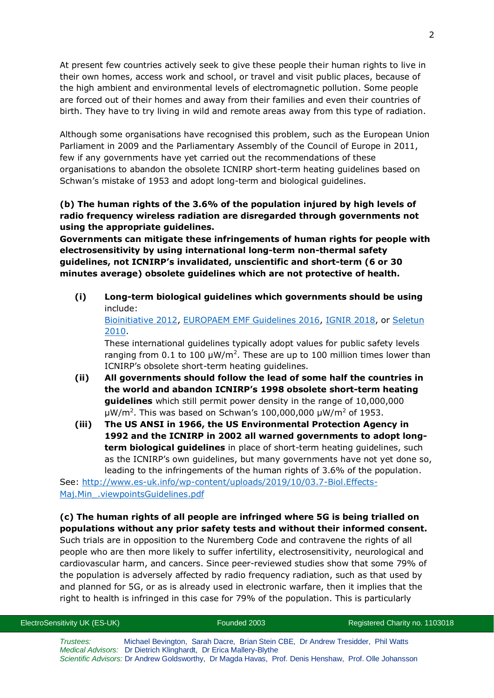At present few countries actively seek to give these people their human rights to live in their own homes, access work and school, or travel and visit public places, because of the high ambient and environmental levels of electromagnetic pollution. Some people are forced out of their homes and away from their families and even their countries of birth. They have to try living in wild and remote areas away from this type of radiation.

Although some organisations have recognised this problem, such as the European Union Parliament in 2009 and the Parliamentary Assembly of the Council of Europe in 2011, few if any governments have yet carried out the recommendations of these organisations to abandon the obsolete ICNIRP short-term heating guidelines based on Schwan's mistake of 1953 and adopt long-term and biological guidelines.

**(b) The human rights of the 3.6% of the population injured by high levels of radio frequency wireless radiation are disregarded through governments not using the appropriate guidelines.** 

**Governments can mitigate these infringements of human rights for people with electrosensitivity by using international long-term non-thermal safety guidelines, not ICNIRP's invalidated, unscientific and short-term (6 or 30 minutes average) obsolete guidelines which are not protective of health.**

**(i) Long-term biological guidelines which governments should be using** include:

[Bioinitiative 2012,](http://www.bioinitiative.org/) [EUROPAEM EMF Guidelines 2016,](https://www.degruyter.com/table/j/reveh.2016.31.issue-3/reveh-2016-0011/reveh-2016-0011.xml?id=j_reveh-2016-0011_tab_003) [IGNIR](https://www.ignir.org/Guidelines) 2018, or [Seletun](http://electromagnetichealth.org/wp-content/uploads/2010/12/The-Seletun-Scientific-Statement1.pdf)  [2010.](http://electromagnetichealth.org/wp-content/uploads/2010/12/The-Seletun-Scientific-Statement1.pdf)

These international guidelines typically adopt values for public safety levels ranging from 0.1 to 100  $\mu$ W/m<sup>2</sup>. These are up to 100 million times lower than ICNIRP's obsolete short-term heating guidelines.

- **(ii) All governments should follow the lead of some half the countries in the world and abandon ICNIRP's 1998 obsolete short-term heating guidelines** which still permit power density in the range of 10,000,000  $\mu$ W/m<sup>2</sup>. This was based on Schwan's 100,000,000  $\mu$ W/m<sup>2</sup> of 1953.
- **(iii) The US ANSI in 1966, the US Environmental Protection Agency in 1992 and the ICNIRP in 2002 all warned governments to adopt longterm biological guidelines** in place of short-term heating guidelines, such as the ICNIRP's own guidelines, but many governments have not yet done so, leading to the infringements of the human rights of 3.6% of the population.

See: [http://www.es-uk.info/wp-content/uploads/2019/10/03.7-Biol.Effects-](http://www.es-uk.info/wp-content/uploads/2019/10/03.7-Biol.Effects-Maj.Min_.viewpointsGuidelines.pdf)Maj.Min .viewpointsGuidelines.pdf

### **(c) The human rights of all people are infringed where 5G is being trialled on populations without any prior safety tests and without their informed consent.**

Such trials are in opposition to the Nuremberg Code and contravene the rights of all people who are then more likely to suffer infertility, electrosensitivity, neurological and cardiovascular harm, and cancers. Since peer-reviewed studies show that some 79% of the population is adversely affected by radio frequency radiation, such as that used by and planned for 5G, or as is already used in electronic warfare, then it implies that the right to health is infringed in this case for 79% of the population. This is particularly

| ElectroSensitivity UK (ES-UK) |  |  |
|-------------------------------|--|--|
|-------------------------------|--|--|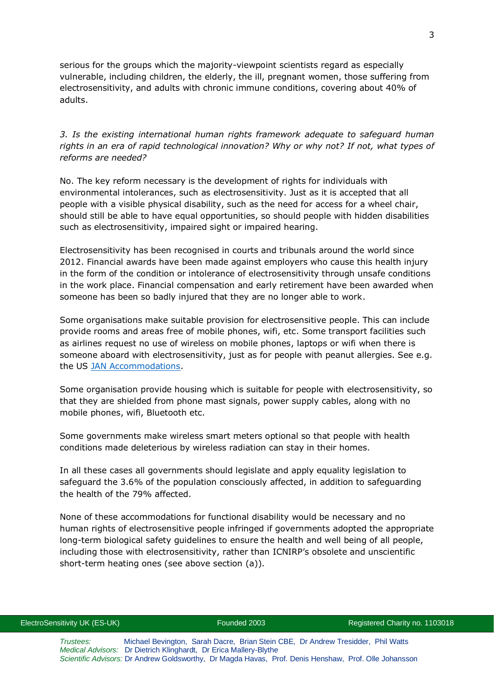serious for the groups which the majority-viewpoint scientists regard as especially vulnerable, including children, the elderly, the ill, pregnant women, those suffering from electrosensitivity, and adults with chronic immune conditions, covering about 40% of adults.

*3. Is the existing international human rights framework adequate to safeguard human rights in an era of rapid technological innovation? Why or why not? If not, what types of reforms are needed?*

No. The key reform necessary is the development of rights for individuals with environmental intolerances, such as electrosensitivity. Just as it is accepted that all people with a visible physical disability, such as the need for access for a wheel chair, should still be able to have equal opportunities, so should people with hidden disabilities such as electrosensitivity, impaired sight or impaired hearing.

Electrosensitivity has been recognised in courts and tribunals around the world since 2012. Financial awards have been made against employers who cause this health injury in the form of the condition or intolerance of electrosensitivity through unsafe conditions in the work place. Financial compensation and early retirement have been awarded when someone has been so badly injured that they are no longer able to work.

Some organisations make suitable provision for electrosensitive people. This can include provide rooms and areas free of mobile phones, wifi, etc. Some transport facilities such as airlines request no use of wireless on mobile phones, laptops or wifi when there is someone aboard with electrosensitivity, just as for people with peanut allergies. See e.g. the US [JAN Accommodations.](http://www.es-uk.info/wp-content/uploads/2018/11/06.7-JAN-ES-Accommodations-2015.pdf)

Some organisation provide housing which is suitable for people with electrosensitivity, so that they are shielded from phone mast signals, power supply cables, along with no mobile phones, wifi, Bluetooth etc.

Some governments make wireless smart meters optional so that people with health conditions made deleterious by wireless radiation can stay in their homes.

In all these cases all governments should legislate and apply equality legislation to safeguard the 3.6% of the population consciously affected, in addition to safeguarding the health of the 79% affected.

None of these accommodations for functional disability would be necessary and no human rights of electrosensitive people infringed if governments adopted the appropriate long-term biological safety guidelines to ensure the health and well being of all people, including those with electrosensitivity, rather than ICNIRP's obsolete and unscientific short-term heating ones (see above section (a)).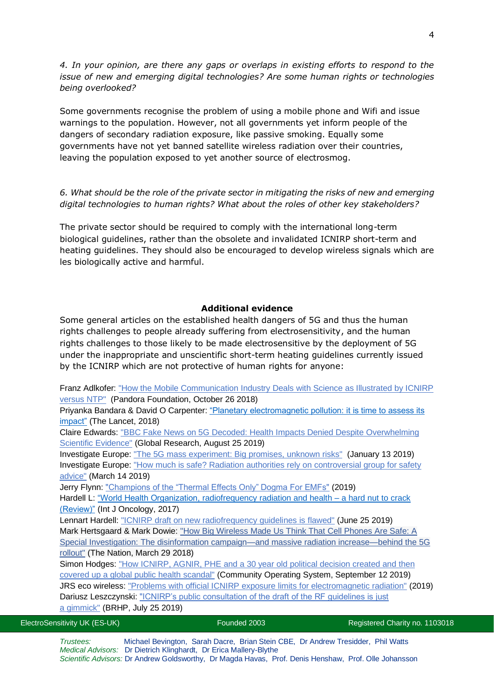*4. In your opinion, are there any gaps or overlaps in existing efforts to respond to the issue of new and emerging digital technologies? Are some human rights or technologies being overlooked?*

Some governments recognise the problem of using a mobile phone and Wifi and issue warnings to the population. However, not all governments yet inform people of the dangers of secondary radiation exposure, like passive smoking. Equally some governments have not yet banned satellite wireless radiation over their countries, leaving the population exposed to yet another source of electrosmog.

### *6. What should be the role of the private sector in mitigating the risks of new and emerging digital technologies to human rights? What about the roles of other key stakeholders?*

The private sector should be required to comply with the international long-term biological guidelines, rather than the obsolete and invalidated ICNIRP short-term and heating guidelines. They should also be encouraged to develop wireless signals which are les biologically active and harmful.

#### **Additional evidence**

Some general articles on the established health dangers of 5G and thus the human rights challenges to people already suffering from electrosensitivity, and the human rights challenges to those likely to be made electrosensitive by the deployment of 5G under the inappropriate and unscientific short-term heating guidelines currently issued by the ICNIRP which are not protective of human rights for anyone:

Franz Adlkofer: ["How the Mobile Communication Industry Deals with Science as Illustrated by ICNIRP](https://stiftung-pandora.eu/wp-content/uploads/2018/11/Pandora_Adlkofer_Dealing-with-NTP-Nancy-Draft_181026_en.pdf)  [versus NTP"](https://stiftung-pandora.eu/wp-content/uploads/2018/11/Pandora_Adlkofer_Dealing-with-NTP-Nancy-Draft_181026_en.pdf) (Pandora Foundation, October 26 2018) Priyanka Bandara & David O Carpenter[: "Planetary electromagnetic pollution: it is time to assess its](https://www.thelancet.com/journals/lanplh/article/PIIS2542-5196(18)30221-3/fulltext?fbclid=IwAR2l2zuI1IPxMagKEep7q1P1eU_AQLNZJ8vZZn_TEcO2gJmjKUlZtSJSTlM)  [impact"](https://www.thelancet.com/journals/lanplh/article/PIIS2542-5196(18)30221-3/fulltext?fbclid=IwAR2l2zuI1IPxMagKEep7q1P1eU_AQLNZJ8vZZn_TEcO2gJmjKUlZtSJSTlM) (The Lancet, 2018) Claire Edwards: ["BBC Fake News on 5G Decoded: Health Impacts Denied Despite Overwhelming](https://www.globalresearch.ca/online-bbc-fake-news-5g-decoded/5687055)  [Scientific Evidence"](https://www.globalresearch.ca/online-bbc-fake-news-5g-decoded/5687055) (Global Research, August 25 2019) Investigate Europe: ["The 5G mass experiment: Big promises, unknown risks"](https://www.investigate-europe.eu/publications/the-5g-mass-experiment/) (January 13 2019) Investigate Europe: ["How much is safe? Radiation authorities rely on controversial group for safety](https://www.investigate-europe.eu/publications/how-much-is-safe/)  [advice"](https://www.investigate-europe.eu/publications/how-much-is-safe/) (March 14 2019) Jerry Flynn: ["Champions of the "Thermal Effects Only" Dogma For EMFs"](http://www.stopsmartmetersbc.com/wp-content/uploads/2019/07/Champions-of-the-Thermal-Effects-Only-Dogma-for-EMFs-3-by-Jerry-Flynn.pdf) (2019) Hardell L: ["World Health Organization, radiofrequency radiation and health –](https://www.spandidos-publications.com/ijo/51/2/405) a hard nut to crack [\(Review\)"](https://www.spandidos-publications.com/ijo/51/2/405) (Int J Oncology, 2017) Lennart Hardell: ["ICNIRP draft on new radiofrequency guidelines is](https://lennarthardellenglish.wordpress.com/2019/06/25/icnirp-draft-on-new-radiofrequency-guidelines-is-flawed/) flawed" (June 25 2019) Mark Hertsgaard & Mark Dowie: "How Big Wireless [Made Us Think That Cell Phones Are Safe: A](https://www.thenation.com/article/how-big-wireless-made-us-think-that-cell-phones-are-safe-a-special-investigation/) 

Special Investigation: [The disinformation campaign—and massive radiation increase—behind the 5G](https://www.thenation.com/article/how-big-wireless-made-us-think-that-cell-phones-are-safe-a-special-investigation/)  [rollout"](https://www.thenation.com/article/how-big-wireless-made-us-think-that-cell-phones-are-safe-a-special-investigation/) (The Nation, March 29 2018)

Simon Hodges: ["How ICNIRP, AGNIR, PHE and a 30 year old political decision created and then](https://communityoperatingsystem.wordpress.com/2019/09/12/how-icnirp-agnir-phe-and-a-30-year-old-political-decision-created-and-then-covered-up-a-global-public-health-scandal/?fbclid=IwAR3rgYMunPtjUPDO60vGRAmX9HuzvsgDuv8IM-fbMrihqQod8W-B58RR2VQ)  [covered up a global public health](https://communityoperatingsystem.wordpress.com/2019/09/12/how-icnirp-agnir-phe-and-a-30-year-old-political-decision-created-and-then-covered-up-a-global-public-health-scandal/?fbclid=IwAR3rgYMunPtjUPDO60vGRAmX9HuzvsgDuv8IM-fbMrihqQod8W-B58RR2VQ) scandal" (Community Operating System, September 12 2019) JRS eco wireless: ["Problems with official ICNIRP exposure limits for electromagnetic radiation"](https://www.jrseco.com/problems-with-official-icnirp-exposure-limits-for-electromagnetic-radiation/) (2019) Dariusz Leszczynski: "ICNIRP's public consultation of the draft of the RF guidelines is just a [gimmick"](https://betweenrockandhardplace.wordpress.com/2018/07/25/icnirps-public-consultation-of-the-draft-of-the-rf-guidelines-is-just-a-gimmick/) (BRHP, July 25 2019)

| ElectroSensitivity UK (ES-UK) |                                                     | Founded 2003 |  |  |  |
|-------------------------------|-----------------------------------------------------|--------------|--|--|--|
| Trustees:                     | Michael Bevington, Sarah Dacre, Brian Stein CBE, D. |              |  |  |  |

Registered Charity no. 1103018

r Andrew Tresidder, Phil Watts *Medical Advisors:* Dr Dietrich Klinghardt, Dr Erica Mallery-Blythe *Scientific Advisors:* Dr Andrew Goldsworthy, Dr Magda Havas, Prof. Denis Henshaw, Prof. Olle Johansson